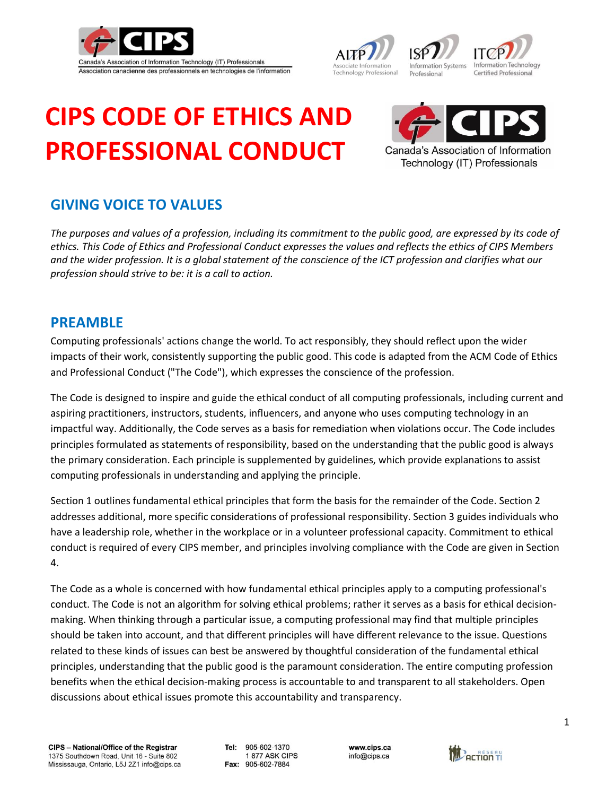



# **CIPS CODE OF ETHICS AND PROFESSIONAL CONDUCT**



# **GIVING VOICE TO VALUES**

*The purposes and values of a profession, including its commitment to the public good, are expressed by its code of ethics. This Code of Ethics and Professional Conduct expresses the values and reflects the ethics of CIPS Members and the wider profession. It is a global statement of the conscience of the ICT profession and clarifies what our profession should strive to be: it is a call to action.*

## **PREAMBLE**

Computing professionals' actions change the world. To act responsibly, they should reflect upon the wider impacts of their work, consistently supporting the public good. This code is adapted from the ACM Code of Ethics and Professional Conduct ("The Code"), which expresses the conscience of the profession.

The Code is designed to inspire and guide the ethical conduct of all computing professionals, including current and aspiring practitioners, instructors, students, influencers, and anyone who uses computing technology in an impactful way. Additionally, the Code serves as a basis for remediation when violations occur. The Code includes principles formulated as statements of responsibility, based on the understanding that the public good is always the primary consideration. Each principle is supplemented by guidelines, which provide explanations to assist computing professionals in understanding and applying the principle.

Section 1 outlines fundamental ethical principles that form the basis for the remainder of the Code. Section 2 addresses additional, more specific considerations of professional responsibility. Section 3 guides individuals who have a leadership role, whether in the workplace or in a volunteer professional capacity. Commitment to ethical conduct is required of every CIPS member, and principles involving compliance with the Code are given in Section 4.

The Code as a whole is concerned with how fundamental ethical principles apply to a computing professional's conduct. The Code is not an algorithm for solving ethical problems; rather it serves as a basis for ethical decisionmaking. When thinking through a particular issue, a computing professional may find that multiple principles should be taken into account, and that different principles will have different relevance to the issue. Questions related to these kinds of issues can best be answered by thoughtful consideration of the fundamental ethical principles, understanding that the public good is the paramount consideration. The entire computing profession benefits when the ethical decision-making process is accountable to and transparent to all stakeholders. Open discussions about ethical issues promote this accountability and transparency.

Tel: 905-602-1370 1877 ASK CIPS Fax: 905-602-7884

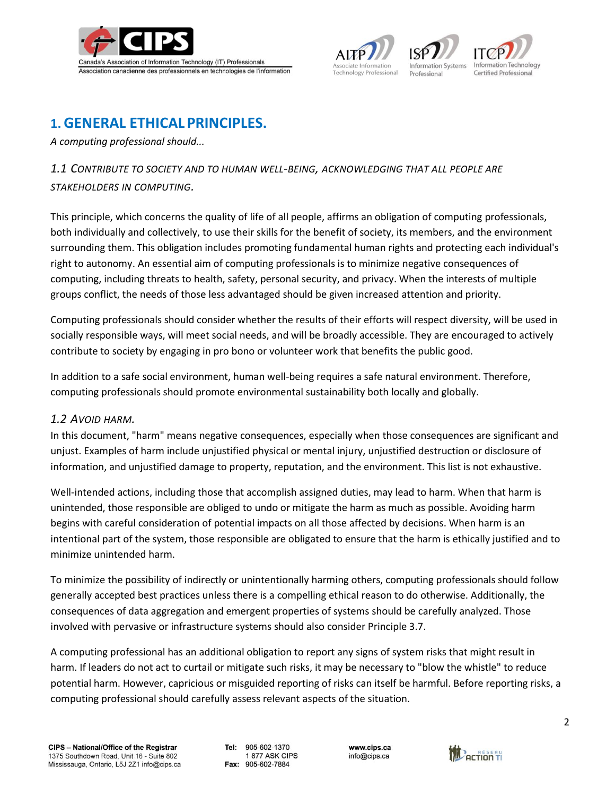



# **1.GENERAL ETHICAL PRINCIPLES.**

*A computing professional should...*

*1.1 CONTRIBUTE TO SOCIETY AND TO HUMAN WELL-BEING, ACKNOWLEDGING THAT ALL PEOPLE ARE STAKEHOLDERS IN COMPUTING.*

This principle, which concerns the quality of life of all people, affirms an obligation of computing professionals, both individually and collectively, to use their skills for the benefit of society, its members, and the environment surrounding them. This obligation includes promoting fundamental human rights and protecting each individual's right to autonomy. An essential aim of computing professionals is to minimize negative consequences of computing, including threats to health, safety, personal security, and privacy. When the interests of multiple groups conflict, the needs of those less advantaged should be given increased attention and priority.

Computing professionals should consider whether the results of their efforts will respect diversity, will be used in socially responsible ways, will meet social needs, and will be broadly accessible. They are encouraged to actively contribute to society by engaging in pro bono or volunteer work that benefits the public good.

In addition to a safe social environment, human well-being requires a safe natural environment. Therefore, computing professionals should promote environmental sustainability both locally and globally.

## *1.2 AVOID HARM.*

In this document, "harm" means negative consequences, especially when those consequences are significant and unjust. Examples of harm include unjustified physical or mental injury, unjustified destruction or disclosure of information, and unjustified damage to property, reputation, and the environment. This list is not exhaustive.

Well-intended actions, including those that accomplish assigned duties, may lead to harm. When that harm is unintended, those responsible are obliged to undo or mitigate the harm as much as possible. Avoiding harm begins with careful consideration of potential impacts on all those affected by decisions. When harm is an intentional part of the system, those responsible are obligated to ensure that the harm is ethically justified and to minimize unintended harm.

To minimize the possibility of indirectly or unintentionally harming others, computing professionals should follow generally accepted best practices unless there is a compelling ethical reason to do otherwise. Additionally, the consequences of data aggregation and emergent properties of systems should be carefully analyzed. Those involved with pervasive or infrastructure systems should also consider Principle 3.7.

A computing professional has an additional obligation to report any signs of system risks that might result in harm. If leaders do not act to curtail or mitigate such risks, it may be necessary to "blow the whistle" to reduce potential harm. However, capricious or misguided reporting of risks can itself be harmful. Before reporting risks, a computing professional should carefully assess relevant aspects of the situation.

Tel: 905-602-1370 1877 ASK CIPS Fax: 905-602-7884

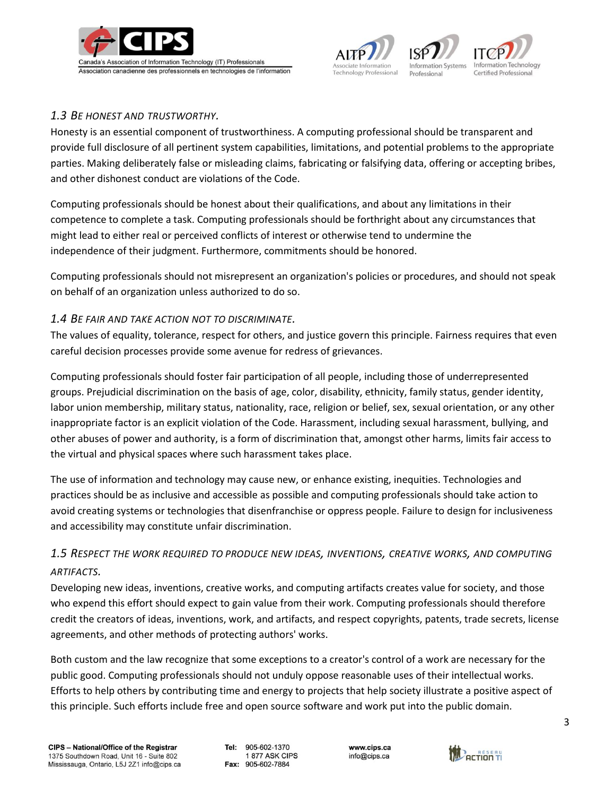



## *1.3 BE HONEST AND TRUSTWORTHY.*

Honesty is an essential component of trustworthiness. A computing professional should be transparent and provide full disclosure of all pertinent system capabilities, limitations, and potential problems to the appropriate parties. Making deliberately false or misleading claims, fabricating or falsifying data, offering or accepting bribes, and other dishonest conduct are violations of the Code.

Computing professionals should be honest about their qualifications, and about any limitations in their competence to complete a task. Computing professionals should be forthright about any circumstances that might lead to either real or perceived conflicts of interest or otherwise tend to undermine the independence of their judgment. Furthermore, commitments should be honored.

Computing professionals should not misrepresent an organization's policies or procedures, and should not speak on behalf of an organization unless authorized to do so.

## *1.4 BE FAIR AND TAKE ACTION NOT TO DISCRIMINATE.*

The values of equality, tolerance, respect for others, and justice govern this principle. Fairness requires that even careful decision processes provide some avenue for redress of grievances.

Computing professionals should foster fair participation of all people, including those of underrepresented groups. Prejudicial discrimination on the basis of age, color, disability, ethnicity, family status, gender identity, labor union membership, military status, nationality, race, religion or belief, sex, sexual orientation, or any other inappropriate factor is an explicit violation of the Code. Harassment, including sexual harassment, bullying, and other abuses of power and authority, is a form of discrimination that, amongst other harms, limits fair access to the virtual and physical spaces where such harassment takes place.

The use of information and technology may cause new, or enhance existing, inequities. Technologies and practices should be as inclusive and accessible as possible and computing professionals should take action to avoid creating systems or technologies that disenfranchise or oppress people. Failure to design for inclusiveness and accessibility may constitute unfair discrimination.

## *1.5 RESPECT THE WORK REQUIRED TO PRODUCE NEW IDEAS, INVENTIONS, CREATIVE WORKS, AND COMPUTING ARTIFACTS.*

Developing new ideas, inventions, creative works, and computing artifacts creates value for society, and those who expend this effort should expect to gain value from their work. Computing professionals should therefore credit the creators of ideas, inventions, work, and artifacts, and respect copyrights, patents, trade secrets, license agreements, and other methods of protecting authors' works.

Both custom and the law recognize that some exceptions to a creator's control of a work are necessary for the public good. Computing professionals should not unduly oppose reasonable uses of their intellectual works. Efforts to help others by contributing time and energy to projects that help society illustrate a positive aspect of this principle. Such efforts include free and open source software and work put into the public domain.

905-602-1370 Tel: 1877 ASK CIPS Fax: 905-602-7884

www.cips.ca info@cips.ca



3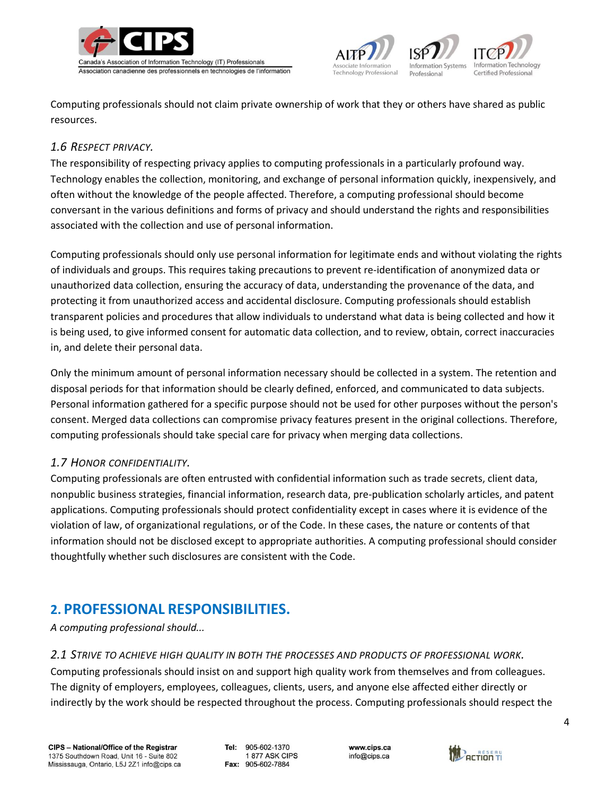



Computing professionals should not claim private ownership of work that they or others have shared as public resources.

## *1.6 RESPECT PRIVACY.*

The responsibility of respecting privacy applies to computing professionals in a particularly profound way. Technology enables the collection, monitoring, and exchange of personal information quickly, inexpensively, and often without the knowledge of the people affected. Therefore, a computing professional should become conversant in the various definitions and forms of privacy and should understand the rights and responsibilities associated with the collection and use of personal information.

Computing professionals should only use personal information for legitimate ends and without violating the rights of individuals and groups. This requires taking precautions to prevent re-identification of anonymized data or unauthorized data collection, ensuring the accuracy of data, understanding the provenance of the data, and protecting it from unauthorized access and accidental disclosure. Computing professionals should establish transparent policies and procedures that allow individuals to understand what data is being collected and how it is being used, to give informed consent for automatic data collection, and to review, obtain, correct inaccuracies in, and delete their personal data.

Only the minimum amount of personal information necessary should be collected in a system. The retention and disposal periods for that information should be clearly defined, enforced, and communicated to data subjects. Personal information gathered for a specific purpose should not be used for other purposes without the person's consent. Merged data collections can compromise privacy features present in the original collections. Therefore, computing professionals should take special care for privacy when merging data collections.

## *1.7 HONOR CONFIDENTIALITY.*

Computing professionals are often entrusted with confidential information such as trade secrets, client data, nonpublic business strategies, financial information, research data, pre-publication scholarly articles, and patent applications. Computing professionals should protect confidentiality except in cases where it is evidence of the violation of law, of organizational regulations, or of the Code. In these cases, the nature or contents of that information should not be disclosed except to appropriate authorities. A computing professional should consider thoughtfully whether such disclosures are consistent with the Code.

# **2. PROFESSIONAL RESPONSIBILITIES.**

*A computing professional should...*

*2.1 STRIVE TO ACHIEVE HIGH QUALITY IN BOTH THE PROCESSES AND PRODUCTS OF PROFESSIONAL WORK.*  Computing professionals should insist on and support high quality work from themselves and from colleagues. The dignity of employers, employees, colleagues, clients, users, and anyone else affected either directly or indirectly by the work should be respected throughout the process. Computing professionals should respect the

Tel: 905-602-1370 1877 ASK CIPS Fax: 905-602-7884

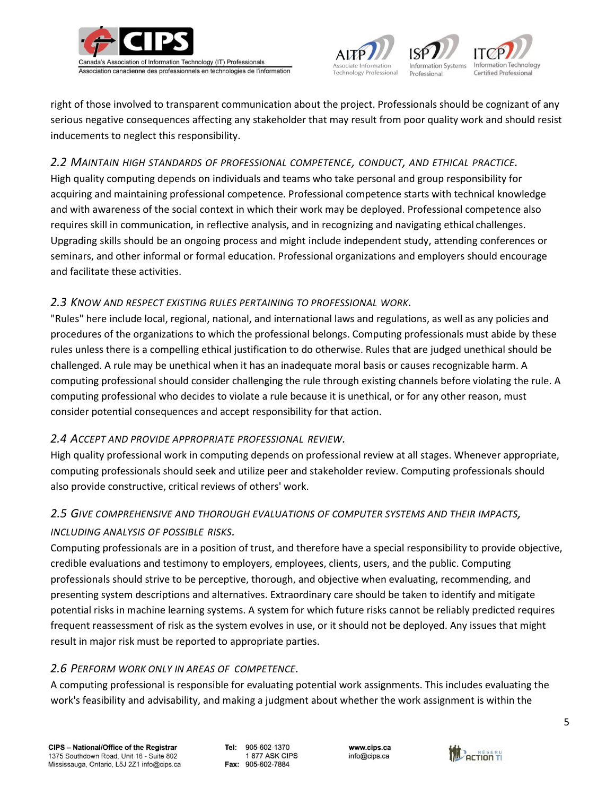



right of those involved to transparent communication about the project. Professionals should be cognizant of any serious negative consequences affecting any stakeholder that may result from poor quality work and should resist inducements to neglect this responsibility.

## *2.2 MAINTAIN HIGH STANDARDS OF PROFESSIONAL COMPETENCE, CONDUCT, AND ETHICAL PRACTICE.*

High quality computing depends on individuals and teams who take personal and group responsibility for acquiring and maintaining professional competence. Professional competence starts with technical knowledge and with awareness of the social context in which their work may be deployed. Professional competence also requires skill in communication, in reflective analysis, and in recognizing and navigating ethical challenges. Upgrading skills should be an ongoing process and might include independent study, attending conferences or seminars, and other informal or formal education. Professional organizations and employers should encourage and facilitate these activities.

## *2.3 KNOW AND RESPECT EXISTING RULES PERTAINING TO PROFESSIONAL WORK.*

"Rules" here include local, regional, national, and international laws and regulations, as well as any policies and procedures of the organizations to which the professional belongs. Computing professionals must abide by these rules unless there is a compelling ethical justification to do otherwise. Rules that are judged unethical should be challenged. A rule may be unethical when it has an inadequate moral basis or causes recognizable harm. A computing professional should consider challenging the rule through existing channels before violating the rule. A computing professional who decides to violate a rule because it is unethical, or for any other reason, must consider potential consequences and accept responsibility for that action.

## *2.4 ACCEPT AND PROVIDE APPROPRIATE PROFESSIONAL REVIEW.*

High quality professional work in computing depends on professional review at all stages. Whenever appropriate, computing professionals should seek and utilize peer and stakeholder review. Computing professionals should also provide constructive, critical reviews of others' work.

## *2.5 GIVE COMPREHENSIVE AND THOROUGH EVALUATIONS OF COMPUTER SYSTEMS AND THEIR IMPACTS,*

#### *INCLUDING ANALYSIS OF POSSIBLE RISKS.*

Computing professionals are in a position of trust, and therefore have a special responsibility to provide objective, credible evaluations and testimony to employers, employees, clients, users, and the public. Computing professionals should strive to be perceptive, thorough, and objective when evaluating, recommending, and presenting system descriptions and alternatives. Extraordinary care should be taken to identify and mitigate potential risks in machine learning systems. A system for which future risks cannot be reliably predicted requires frequent reassessment of risk as the system evolves in use, or it should not be deployed. Any issues that might result in major risk must be reported to appropriate parties.

#### *2.6 PERFORM WORK ONLY IN AREAS OF COMPETENCE.*

A computing professional is responsible for evaluating potential work assignments. This includes evaluating the work's feasibility and advisability, and making a judgment about whether the work assignment is within the

Tel: 905-602-1370 1877 ASK CIPS Fax: 905-602-7884

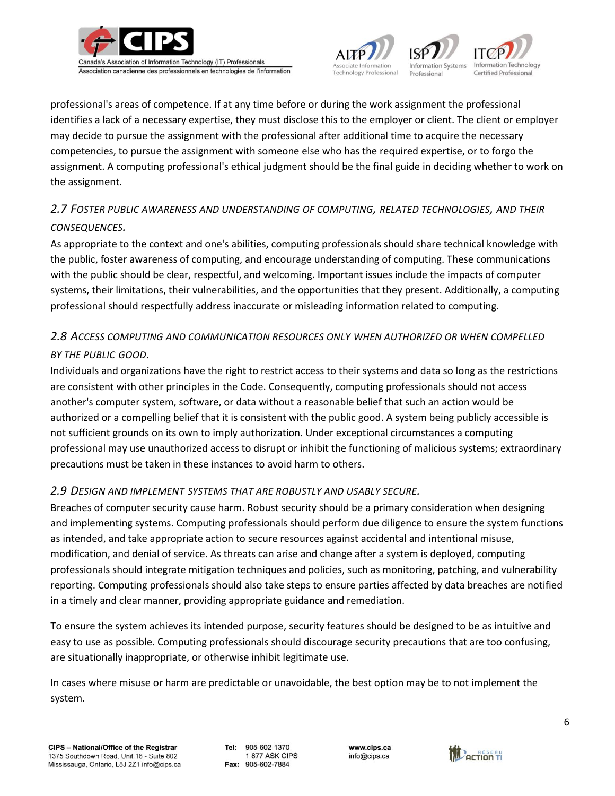



professional's areas of competence. If at any time before or during the work assignment the professional identifies a lack of a necessary expertise, they must disclose this to the employer or client. The client or employer may decide to pursue the assignment with the professional after additional time to acquire the necessary competencies, to pursue the assignment with someone else who has the required expertise, or to forgo the assignment. A computing professional's ethical judgment should be the final guide in deciding whether to work on the assignment.

## *2.7 FOSTER PUBLIC AWARENESS AND UNDERSTANDING OF COMPUTING, RELATED TECHNOLOGIES, AND THEIR CONSEQUENCES.*

As appropriate to the context and one's abilities, computing professionals should share technical knowledge with the public, foster awareness of computing, and encourage understanding of computing. These communications with the public should be clear, respectful, and welcoming. Important issues include the impacts of computer systems, their limitations, their vulnerabilities, and the opportunities that they present. Additionally, a computing professional should respectfully address inaccurate or misleading information related to computing.

## *2.8 ACCESS COMPUTING AND COMMUNICATION RESOURCES ONLY WHEN AUTHORIZED OR WHEN COMPELLED BY THE PUBLIC GOOD.*

Individuals and organizations have the right to restrict access to their systems and data so long as the restrictions are consistent with other principles in the Code. Consequently, computing professionals should not access another's computer system, software, or data without a reasonable belief that such an action would be authorized or a compelling belief that it is consistent with the public good. A system being publicly accessible is not sufficient grounds on its own to imply authorization. Under exceptional circumstances a computing professional may use unauthorized access to disrupt or inhibit the functioning of malicious systems; extraordinary precautions must be taken in these instances to avoid harm to others.

## *2.9 DESIGN AND IMPLEMENT SYSTEMS THAT ARE ROBUSTLY AND USABLY SECURE.*

Breaches of computer security cause harm. Robust security should be a primary consideration when designing and implementing systems. Computing professionals should perform due diligence to ensure the system functions as intended, and take appropriate action to secure resources against accidental and intentional misuse, modification, and denial of service. As threats can arise and change after a system is deployed, computing professionals should integrate mitigation techniques and policies, such as monitoring, patching, and vulnerability reporting. Computing professionals should also take steps to ensure parties affected by data breaches are notified in a timely and clear manner, providing appropriate guidance and remediation.

To ensure the system achieves its intended purpose, security features should be designed to be as intuitive and easy to use as possible. Computing professionals should discourage security precautions that are too confusing, are situationally inappropriate, or otherwise inhibit legitimate use.

In cases where misuse or harm are predictable or unavoidable, the best option may be to not implement the system.

Tel: 905-602-1370 1877 ASK CIPS Fax: 905-602-7884

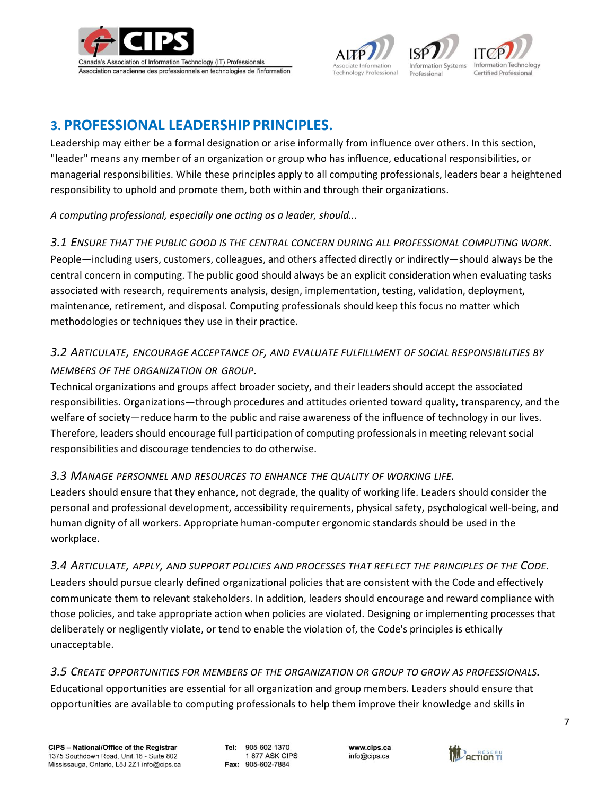



# **3. PROFESSIONAL LEADERSHIP PRINCIPLES.**

Leadership may either be a formal designation or arise informally from influence over others. In this section, "leader" means any member of an organization or group who has influence, educational responsibilities, or managerial responsibilities. While these principles apply to all computing professionals, leaders bear a heightened responsibility to uphold and promote them, both within and through their organizations.

*A computing professional, especially one acting as a leader, should...*

## *3.1 ENSURE THAT THE PUBLIC GOOD IS THE CENTRAL CONCERN DURING ALL PROFESSIONAL COMPUTING WORK.*

People—including users, customers, colleagues, and others affected directly or indirectly—should always be the central concern in computing. The public good should always be an explicit consideration when evaluating tasks associated with research, requirements analysis, design, implementation, testing, validation, deployment, maintenance, retirement, and disposal. Computing professionals should keep this focus no matter which methodologies or techniques they use in their practice.

## *3.2 ARTICULATE, ENCOURAGE ACCEPTANCE OF, AND EVALUATE FULFILLMENT OF SOCIAL RESPONSIBILITIES BY MEMBERS OF THE ORGANIZATION OR GROUP.*

Technical organizations and groups affect broader society, and their leaders should accept the associated responsibilities. Organizations—through procedures and attitudes oriented toward quality, transparency, and the welfare of society—reduce harm to the public and raise awareness of the influence of technology in our lives. Therefore, leaders should encourage full participation of computing professionals in meeting relevant social responsibilities and discourage tendencies to do otherwise.

## *3.3 MANAGE PERSONNEL AND RESOURCES TO ENHANCE THE QUALITY OF WORKING LIFE.*

Leaders should ensure that they enhance, not degrade, the quality of working life. Leaders should consider the personal and professional development, accessibility requirements, physical safety, psychological well-being, and human dignity of all workers. Appropriate human-computer ergonomic standards should be used in the workplace.

#### *3.4 ARTICULATE, APPLY, AND SUPPORT POLICIES AND PROCESSES THAT REFLECT THE PRINCIPLES OF THE CODE.*

Leaders should pursue clearly defined organizational policies that are consistent with the Code and effectively communicate them to relevant stakeholders. In addition, leaders should encourage and reward compliance with those policies, and take appropriate action when policies are violated. Designing or implementing processes that deliberately or negligently violate, or tend to enable the violation of, the Code's principles is ethically unacceptable.

## *3.5 CREATE OPPORTUNITIES FOR MEMBERS OF THE ORGANIZATION OR GROUP TO GROW AS PROFESSIONALS.*  Educational opportunities are essential for all organization and group members. Leaders should ensure that opportunities are available to computing professionals to help them improve their knowledge and skills in

Tel: 905-602-1370 1877 ASK CIPS Fax: 905-602-7884

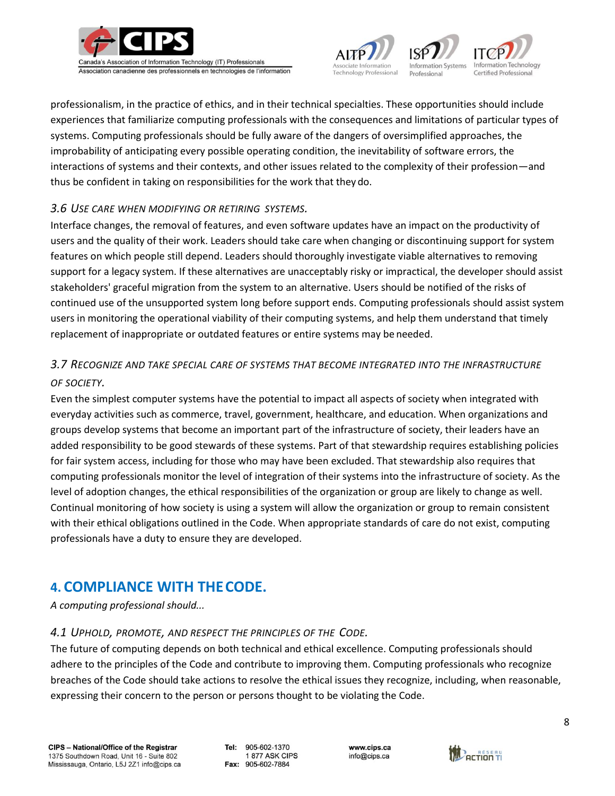

**Information Technology** Associate Information **Information Systems Technology Professional Certified Professional** Professional

professionalism, in the practice of ethics, and in their technical specialties. These opportunities should include experiences that familiarize computing professionals with the consequences and limitations of particular types of systems. Computing professionals should be fully aware of the dangers of oversimplified approaches, the improbability of anticipating every possible operating condition, the inevitability of software errors, the interactions of systems and their contexts, and other issues related to the complexity of their profession—and thus be confident in taking on responsibilities for the work that they do.

## *3.6 USE CARE WHEN MODIFYING OR RETIRING SYSTEMS.*

Interface changes, the removal of features, and even software updates have an impact on the productivity of users and the quality of their work. Leaders should take care when changing or discontinuing support for system features on which people still depend. Leaders should thoroughly investigate viable alternatives to removing support for a legacy system. If these alternatives are unacceptably risky or impractical, the developer should assist stakeholders' graceful migration from the system to an alternative. Users should be notified of the risks of continued use of the unsupported system long before support ends. Computing professionals should assist system users in monitoring the operational viability of their computing systems, and help them understand that timely replacement of inappropriate or outdated features or entire systems may be needed.

## *3.7 RECOGNIZE AND TAKE SPECIAL CARE OF SYSTEMS THAT BECOME INTEGRATED INTO THE INFRASTRUCTURE OF SOCIETY.*

Even the simplest computer systems have the potential to impact all aspects of society when integrated with everyday activities such as commerce, travel, government, healthcare, and education. When organizations and groups develop systems that become an important part of the infrastructure of society, their leaders have an added responsibility to be good stewards of these systems. Part of that stewardship requires establishing policies for fair system access, including for those who may have been excluded. That stewardship also requires that computing professionals monitor the level of integration of their systems into the infrastructure of society. As the level of adoption changes, the ethical responsibilities of the organization or group are likely to change as well. Continual monitoring of how society is using a system will allow the organization or group to remain consistent with their ethical obligations outlined in the Code. When appropriate standards of care do not exist, computing professionals have a duty to ensure they are developed.

# **4. COMPLIANCE WITH THECODE.**

*A computing professional should...*

## *4.1 UPHOLD, PROMOTE, AND RESPECT THE PRINCIPLES OF THE CODE.*

The future of computing depends on both technical and ethical excellence. Computing professionals should adhere to the principles of the Code and contribute to improving them. Computing professionals who recognize breaches of the Code should take actions to resolve the ethical issues they recognize, including, when reasonable, expressing their concern to the person or persons thought to be violating the Code.

Tel: 905-602-1370 1877 ASK CIPS Fax: 905-602-7884

www.cips.ca info@cips.ca



8